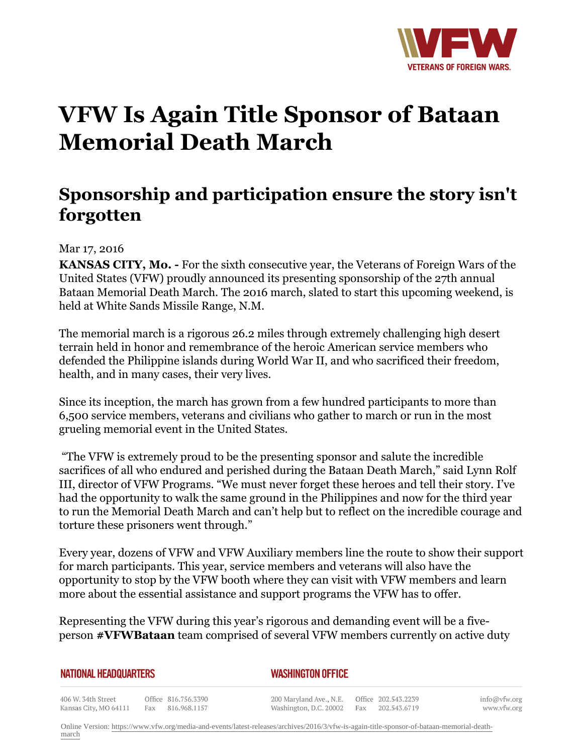

## **VFW Is Again Title Sponsor of Bataan Memorial Death March**

## **Sponsorship and participation ensure the story isn't forgotten**

## Mar 17, 2016

**KANSAS CITY, Mo. -** For the sixth consecutive year, the Veterans of Foreign Wars of the United States (VFW) proudly announced its presenting sponsorship of the 27th annual Bataan Memorial Death March. The 2016 march, slated to start this upcoming weekend, is held at White Sands Missile Range, N.M.

The memorial march is a rigorous 26.2 miles through extremely challenging high desert terrain held in honor and remembrance of the heroic American service members who defended the Philippine islands during World War II, and who sacrificed their freedom, health, and in many cases, their very lives.

Since its inception, the march has grown from a few hundred participants to more than 6,500 service members, veterans and civilians who gather to march or run in the most grueling memorial event in the United States.

 "The VFW is extremely proud to be the presenting sponsor and salute the incredible sacrifices of all who endured and perished during the Bataan Death March," said Lynn Rolf III, director of VFW Programs. "We must never forget these heroes and tell their story. I've had the opportunity to walk the same ground in the Philippines and now for the third year to run the Memorial Death March and can't help but to reflect on the incredible courage and torture these prisoners went through."

Every year, dozens of VFW and VFW Auxiliary members line the route to show their support for march participants. This year, service members and veterans will also have the opportunity to stop by the VFW booth where they can visit with VFW members and learn more about the essential assistance and support programs the VFW has to offer.

Representing the VFW during this year's rigorous and demanding event will be a fiveperson **#VFWBataan** team comprised of several VFW members currently on active duty

| NATIONAL HEADQUARTERS | <b>WASHINGTON OFFICE</b> |
|-----------------------|--------------------------|
|                       |                          |

406 W. 34th Street Kansas City, MO 64111 Fax 816.968.1157

Office 816.756.3390

info@vfw.org www.vfw.org

Online Version: [https://www.vfw.org/media-and-events/latest-releases/archives/2016/3/vfw-is-again-title-sponsor-of-bataan-memorial-death](https://www.vfw.org/media-and-events/latest-releases/archives/2016/3/vfw-is-again-title-sponsor-of-bataan-memorial-death-march)[march](https://www.vfw.org/media-and-events/latest-releases/archives/2016/3/vfw-is-again-title-sponsor-of-bataan-memorial-death-march)